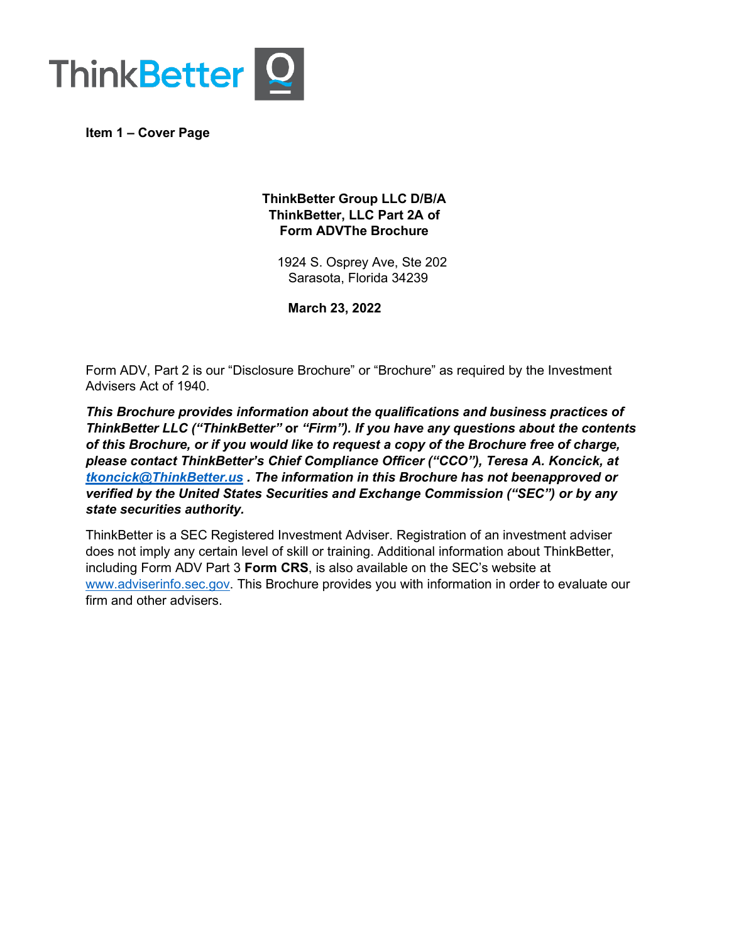

<span id="page-0-0"></span>**Item 1 – Cover Page**

# **ThinkBetter Group LLC D/B/A ThinkBetter, LLC Part 2A of Form ADVThe Brochure**

1924 S. Osprey Ave, Ste 202 Sarasota, Florida 34239

**March 23, 2022**

Form ADV, Part 2 is our "Disclosure Brochure" or "Brochure" as required by the Investment Advisers Act of 1940.

*This Brochure provides information about the qualifications and business practices of ThinkBetter LLC ("ThinkBetter"* **or** *"Firm"). If you have any questions about the contents of this Brochure, or if you would like to request a copy of the Brochure free of charge, please contact ThinkBetter's Chief Compliance Officer ("CCO"), Teresa A. Koncick, at [tkoncick@ThinkBetter.us](mailto:tkoncick@ThinkBetter.us) . The information in this Brochure has not beenapproved or verified by the United States Securities and Exchange Commission ("SEC") or by any state securities authority.*

ThinkBetter is a SEC Registered Investment Adviser. Registration of an investment adviser does not imply any certain level of skill or training. Additional information about ThinkBetter, including Form ADV Part 3 **Form CRS**, is also available on the SEC's website at [www.adviserinfo.sec.gov.](http://www.adviserinfo.sec.gov/) This Brochure provides you with information in order to evaluate our firm and other advisers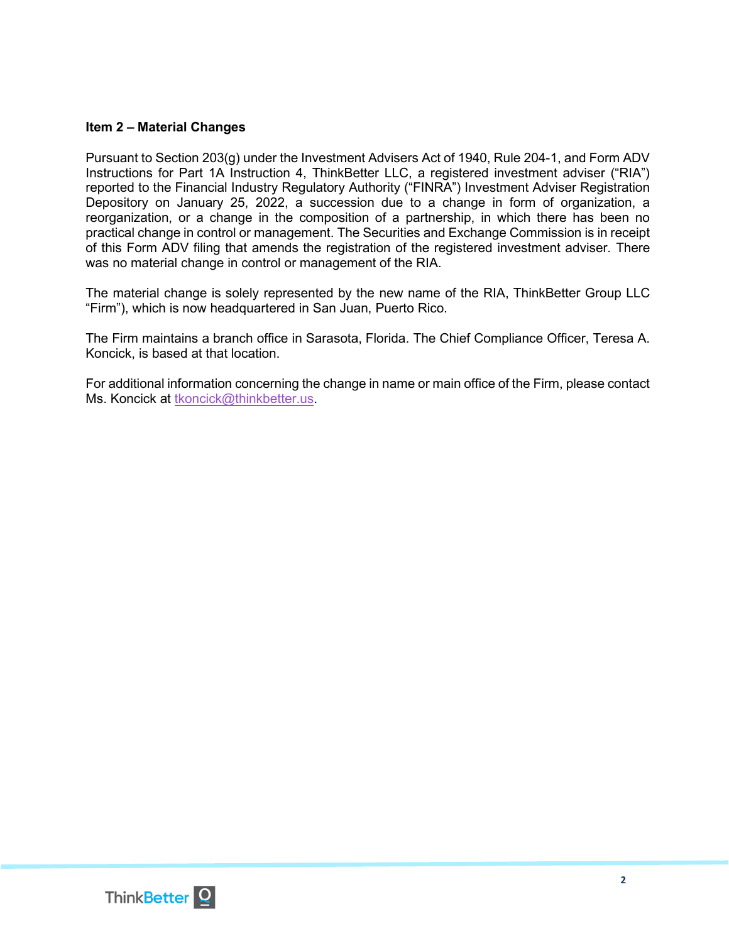### <span id="page-1-0"></span>**Item 2 – Material Changes**

Pursuant to Section 203(g) under the Investment Advisers Act of 1940, Rule 204-1, and Form ADV Instructions for Part 1A Instruction 4, ThinkBetter LLC, a registered investment adviser ("RIA") reported to the Financial Industry Regulatory Authority ("FINRA") Investment Adviser Registration Depository on January 25, 2022, a succession due to a change in form of organization, a reorganization, or a change in the composition of a partnership, in which there has been no practical change in control or management. The Securities and Exchange Commission is in receipt of this Form ADV filing that amends the registration of the registered investment adviser. There was no material change in control or management of the RIA.

The material change is solely represented by the new name of the RIA, ThinkBetter Group LLC "Firm"), which is now headquartered in San Juan, Puerto Rico.

The Firm maintains a branch office in Sarasota, Florida. The Chief Compliance Officer, Teresa A. Koncick, is based at that location.

For additional information concerning the change in name or main office of the Firm, please contact Ms. Koncick at [tkoncick@thinkbetter.us.](mailto:tkoncick@thinkbetter.us)

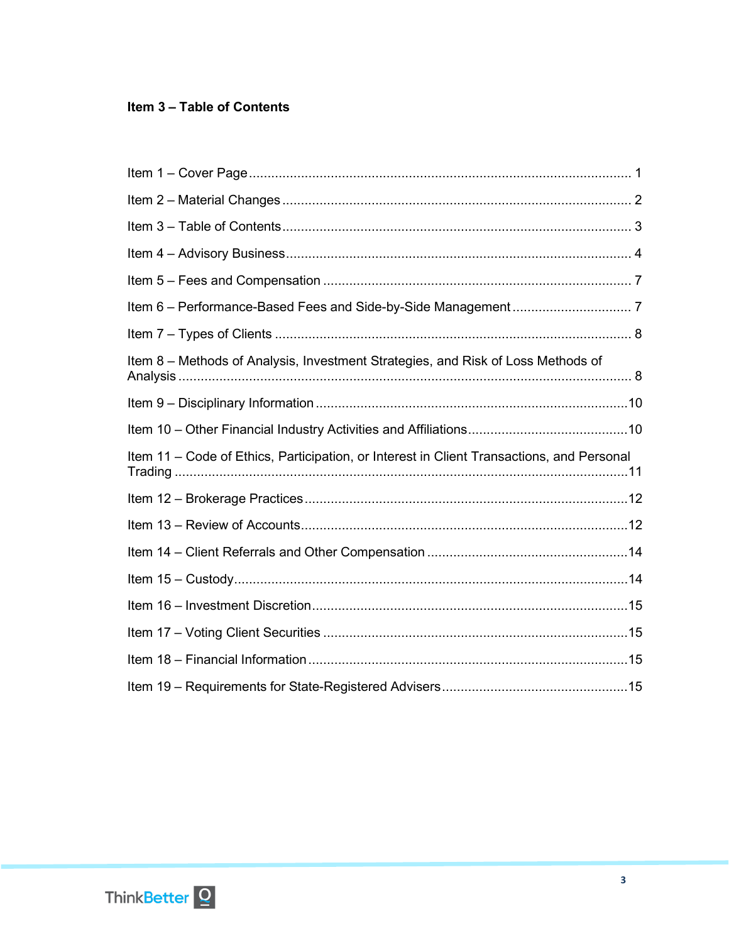# <span id="page-2-0"></span>Item 3 - Table of Contents

| Item 8 - Methods of Analysis, Investment Strategies, and Risk of Loss Methods of          |  |
|-------------------------------------------------------------------------------------------|--|
|                                                                                           |  |
|                                                                                           |  |
| Item 11 – Code of Ethics, Participation, or Interest in Client Transactions, and Personal |  |
|                                                                                           |  |
|                                                                                           |  |
|                                                                                           |  |
|                                                                                           |  |
|                                                                                           |  |
|                                                                                           |  |
|                                                                                           |  |
|                                                                                           |  |

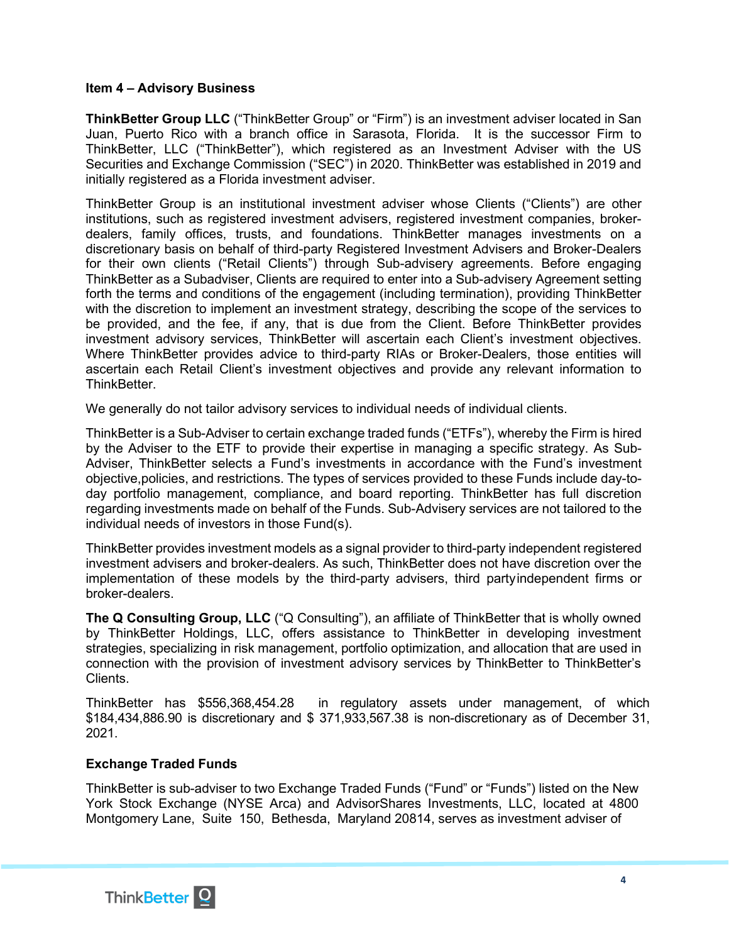### **Item 4 – Advisory Business**

**ThinkBetter Group LLC** ("ThinkBetter Group" or "Firm") is an investment adviser located in San Juan, Puerto Rico with a branch office in Sarasota, Florida. It is the successor Firm to ThinkBetter, LLC ("ThinkBetter"), which registered as an Investment Adviser with the US Securities and Exchange Commission ("SEC") in 2020. ThinkBetter was established in 2019 and initially registered as a Florida investment adviser.

ThinkBetter Group is an institutional investment adviser whose Clients ("Clients") are other institutions, such as registered investment advisers, registered investment companies, brokerdealers, family offices, trusts, and foundations. ThinkBetter manages investments on a discretionary basis on behalf of third-party Registered Investment Advisers and Broker-Dealers for their own clients ("Retail Clients") through Sub-advisery agreements. Before engaging ThinkBetter as a Subadviser, Clients are required to enter into a Sub-advisery Agreement setting forth the terms and conditions of the engagement (including termination), providing ThinkBetter with the discretion to implement an investment strategy, describing the scope of the services to be provided, and the fee, if any, that is due from the Client. Before ThinkBetter provides investment advisory services, ThinkBetter will ascertain each Client's investment objectives. Where ThinkBetter provides advice to third-party RIAs or Broker-Dealers, those entities will ascertain each Retail Client's investment objectives and provide any relevant information to **ThinkBetter** 

We generally do not tailor advisory services to individual needs of individual clients.

ThinkBetter is a Sub-Adviser to certain exchange traded funds ("ETFs"), whereby the Firm is hired by the Adviser to the ETF to provide their expertise in managing a specific strategy. As Sub-Adviser, ThinkBetter selects a Fund's investments in accordance with the Fund's investment objective,policies, and restrictions. The types of services provided to these Funds include day-today portfolio management, compliance, and board reporting. ThinkBetter has full discretion regarding investments made on behalf of the Funds. Sub-Advisery services are not tailored to the individual needs of investors in those Fund(s).

ThinkBetter provides investment models as a signal provider to third-party independent registered investment advisers and broker-dealers. As such, ThinkBetter does not have discretion over the implementation of these models by the third-party advisers, third partyindependent firms or broker-dealers.

**The Q Consulting Group, LLC** ("Q Consulting"), an affiliate of ThinkBetter that is wholly owned by ThinkBetter Holdings, LLC, offers assistance to ThinkBetter in developing investment strategies, specializing in risk management, portfolio optimization, and allocation that are used in connection with the provision of investment advisory services by ThinkBetter to ThinkBetter's Clients.

ThinkBetter has \$556,368,454.28 in regulatory assets under management, of which \$184,434,886.90 is discretionary and \$ 371,933,567.38 is non-discretionary as of December 31, 2021.

# **Exchange Traded Funds**

ThinkBetter is sub-adviser to two Exchange Traded Funds ("Fund" or "Funds") listed on the New York Stock Exchange (NYSE Arca) and AdvisorShares Investments, LLC, located at 4800 Montgomery Lane, Suite 150, Bethesda, Maryland 20814, serves as investment adviser of

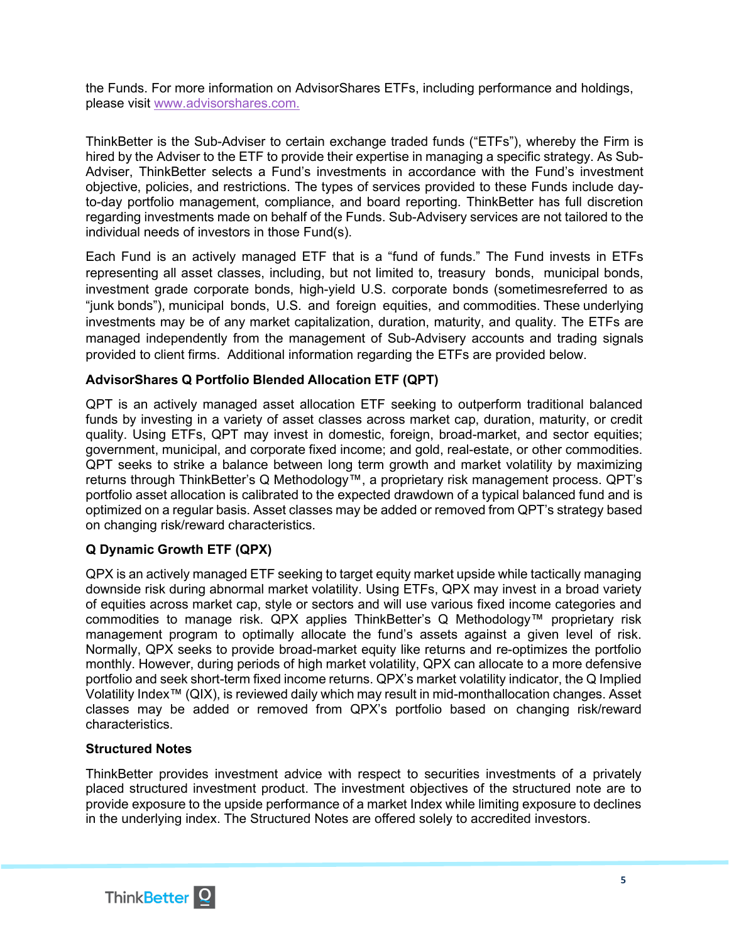the Funds. For more information on AdvisorShares ETFs, including performance and holdings, please visit [www.advisorshares.com.](http://www.advisorshares.com./)

ThinkBetter is the Sub-Adviser to certain exchange traded funds ("ETFs"), whereby the Firm is hired by the Adviser to the ETF to provide their expertise in managing a specific strategy. As Sub-Adviser, ThinkBetter selects a Fund's investments in accordance with the Fund's investment objective, policies, and restrictions. The types of services provided to these Funds include dayto-day portfolio management, compliance, and board reporting. ThinkBetter has full discretion regarding investments made on behalf of the Funds. Sub-Advisery services are not tailored to the individual needs of investors in those Fund(s).

Each Fund is an actively managed ETF that is a "fund of funds." The Fund invests in ETFs representing all asset classes, including, but not limited to, treasury bonds, municipal bonds, investment grade corporate bonds, high-yield U.S. corporate bonds (sometimesreferred to as "junk bonds"), municipal bonds, U.S. and foreign equities, and commodities. These underlying investments may be of any market capitalization, duration, maturity, and quality. The ETFs are managed independently from the management of Sub-Advisery accounts and trading signals provided to client firms. Additional information regarding the ETFs are provided below.

# **AdvisorShares Q Portfolio Blended Allocation ETF (QPT)**

QPT is an actively managed asset allocation ETF seeking to outperform traditional balanced funds by investing in a variety of asset classes across market cap, duration, maturity, or credit quality. Using ETFs, QPT may invest in domestic, foreign, broad-market, and sector equities; government, municipal, and corporate fixed income; and gold, real-estate, or other commodities. QPT seeks to strike a balance between long term growth and market volatility by maximizing returns through ThinkBetter's Q Methodology™, a proprietary risk management process. QPT's portfolio asset allocation is calibrated to the expected drawdown of a typical balanced fund and is optimized on a regular basis. Asset classes may be added or removed from QPT's strategy based on changing risk/reward characteristics.

# **Q Dynamic Growth ETF (QPX)**

QPX is an actively managed ETF seeking to target equity market upside while tactically managing downside risk during abnormal market volatility. Using ETFs, QPX may invest in a broad variety of equities across market cap, style or sectors and will use various fixed income categories and commodities to manage risk. QPX applies ThinkBetter's Q Methodology™ proprietary risk management program to optimally allocate the fund's assets against a given level of risk. Normally, QPX seeks to provide broad-market equity like returns and re-optimizes the portfolio monthly. However, during periods of high market volatility, QPX can allocate to a more defensive portfolio and seek short-term fixed income returns. QPX's market volatility indicator, the Q Implied Volatility Index™ (QIX), is reviewed daily which may result in mid-monthallocation changes. Asset classes may be added or removed from QPX's portfolio based on changing risk/reward characteristics.

# **Structured Notes**

ThinkBetter provides investment advice with respect to securities investments of a privately placed structured investment product. The investment objectives of the structured note are to provide exposure to the upside performance of a market Index while limiting exposure to declines in the underlying index. The Structured Notes are offered solely to accredited investors.

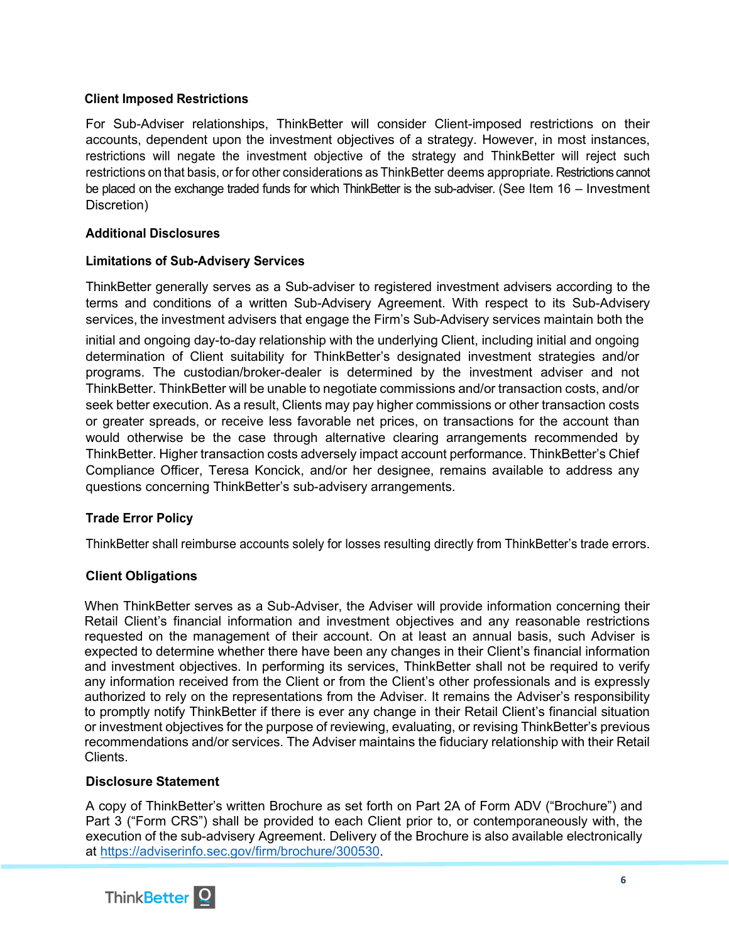# **Client Imposed Restrictions**

For Sub-Adviser relationships, ThinkBetter will consider Client-imposed restrictions on their accounts, dependent upon the investment objectives of a strategy. However, in most instances, restrictions will negate the investment objective of the strategy and ThinkBetter will reject such restrictions on that basis, or for other considerations as ThinkBetter deems appropriate. Restrictions cannot be placed on the exchange traded funds for which ThinkBetter is the sub-adviser. (See Item 16 – Investment Discretion)

# **Additional Disclosures**

# **Limitations of Sub-Advisery Services**

ThinkBetter generally serves as a Sub-adviser to registered investment advisers according to the terms and conditions of a written Sub-Advisery Agreement. With respect to its Sub-Advisery services, the investment advisers that engage the Firm's Sub-Advisery services maintain both the

initial and ongoing day-to-day relationship with the underlying Client, including initial and ongoing determination of Client suitability for ThinkBetter's designated investment strategies and/or programs. The custodian/broker-dealer is determined by the investment adviser and not ThinkBetter. ThinkBetter will be unable to negotiate commissions and/or transaction costs, and/or seek better execution. As a result, Clients may pay higher commissions or other transaction costs or greater spreads, or receive less favorable net prices, on transactions for the account than would otherwise be the case through alternative clearing arrangements recommended by ThinkBetter. Higher transaction costs adversely impact account performance. ThinkBetter's Chief Compliance Officer, Teresa Koncick, and/or her designee, remains available to address any questions concerning ThinkBetter's sub-advisery arrangements.

# **Trade Error Policy**

ThinkBetter shall reimburse accounts solely for losses resulting directly from ThinkBetter's trade errors.

# **Client Obligations**

When ThinkBetter serves as a Sub-Adviser, the Adviser will provide information concerning their Retail Client's financial information and investment objectives and any reasonable restrictions requested on the management of their account. On at least an annual basis, such Adviser is expected to determine whether there have been any changes in their Client's financial information and investment objectives. In performing its services, ThinkBetter shall not be required to verify any information received from the Client or from the Client's other professionals and is expressly authorized to rely on the representations from the Adviser. It remains the Adviser's responsibility to promptly notify ThinkBetter if there is ever any change in their Retail Client's financial situation or investment objectives for the purpose of reviewing, evaluating, or revising ThinkBetter's previous recommendations and/or services. The Adviser maintains the fiduciary relationship with their Retail Clients.

# **Disclosure Statement**

A copy of ThinkBetter's written Brochure as set forth on Part 2A of Form ADV ("Brochure") and Part 3 ("Form CRS") shall be provided to each Client prior to, or contemporaneously with, the execution of the sub-advisery Agreement. Delivery of the Brochure is also available electronically at [https://adviserinfo.sec.gov/firm/brochure/300530.](https://adviserinfo.sec.gov/firm/brochure/300530)

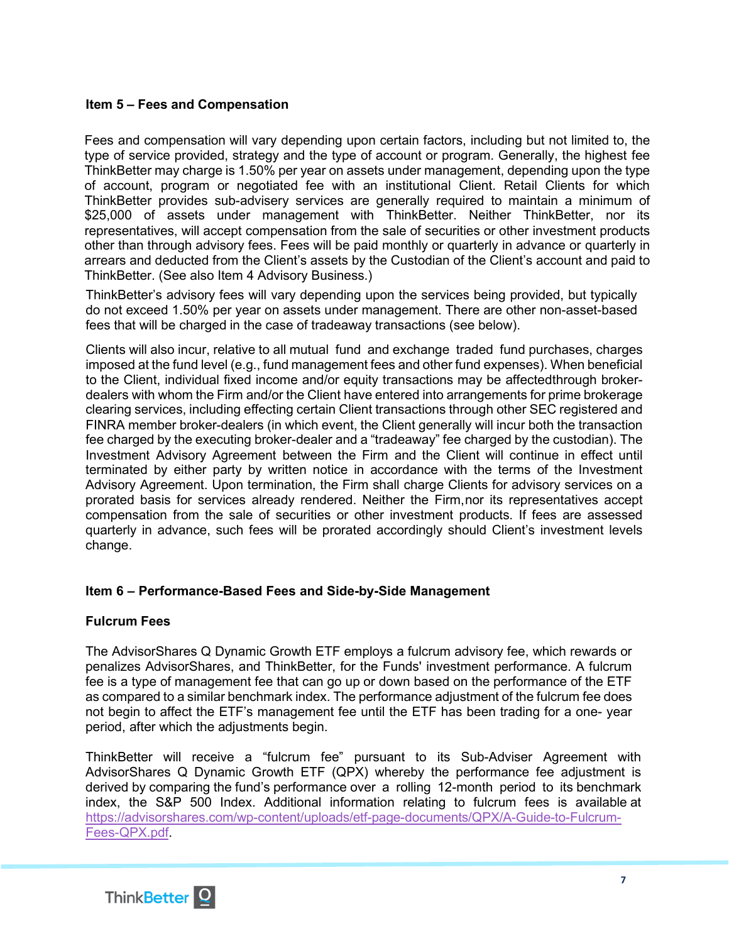# <span id="page-6-0"></span>**Item 5 – Fees and Compensation**

Fees and compensation will vary depending upon certain factors, including but not limited to, the type of service provided, strategy and the type of account or program. Generally, the highest fee ThinkBetter may charge is 1.50% per year on assets under management, depending upon the type of account, program or negotiated fee with an institutional Client. Retail Clients for which ThinkBetter provides sub-advisery services are generally required to maintain a minimum of \$25,000 of assets under management with ThinkBetter. Neither ThinkBetter, nor its representatives, will accept compensation from the sale of securities or other investment products other than through advisory fees. Fees will be paid monthly or quarterly in advance or quarterly in arrears and deducted from the Client's assets by the Custodian of the Client's account and paid to ThinkBetter. (See also Item 4 Advisory Business.)

ThinkBetter's advisory fees will vary depending upon the services being provided, but typically do not exceed 1.50% per year on assets under management. There are other non-asset-based fees that will be charged in the case of tradeaway transactions (see below).

Clients will also incur, relative to all mutual fund and exchange traded fund purchases, charges imposed at the fund level (e.g., fund management fees and other fund expenses). When beneficial to the Client, individual fixed income and/or equity transactions may be affectedthrough brokerdealers with whom the Firm and/or the Client have entered into arrangements for prime brokerage clearing services, including effecting certain Client transactions through other SEC registered and FINRA member broker-dealers (in which event, the Client generally will incur both the transaction fee charged by the executing broker-dealer and a "tradeaway" fee charged by the custodian). The Investment Advisory Agreement between the Firm and the Client will continue in effect until terminated by either party by written notice in accordance with the terms of the Investment Advisory Agreement. Upon termination, the Firm shall charge Clients for advisory services on a prorated basis for services already rendered. Neither the Firm,nor its representatives accept compensation from the sale of securities or other investment products. If fees are assessed quarterly in advance, such fees will be prorated accordingly should Client's investment levels change.

#### <span id="page-6-1"></span>**Item 6 – Performance-Based Fees and Side-by-Side Management**

#### **Fulcrum Fees**

The AdvisorShares Q Dynamic Growth ETF employs a fulcrum advisory fee, which rewards or penalizes AdvisorShares, and ThinkBetter, for the Funds' investment performance. A fulcrum fee is a type of management fee that can go up or down based on the performance of the ETF as compared to a similar benchmark index. The performance adjustment of the fulcrum fee does not begin to affect the ETF's management fee until the ETF has been trading for a one- year period, after which the adjustments begin.

ThinkBetter will receive a "fulcrum fee" pursuant to its Sub-Adviser Agreement with AdvisorShares Q Dynamic Growth ETF (QPX) whereby the performance fee adjustment is derived by comparing the fund's performance over a rolling 12-month period to its benchmark index, the S&P 500 Index. Additional information relating to fulcrum fees is available at [https://advisorshares.com/wp-content/uploads/etf-page-documents/QPX/A-Guide-to-Fulcrum-](https://advisorshares.com/wp-content/uploads/etf-page-documents/QPX/A-Guide-to-Fulcrum-%20Fees-QPX.pdf)[Fees-QPX.pdf.](https://advisorshares.com/wp-content/uploads/etf-page-documents/QPX/A-Guide-to-Fulcrum-%20Fees-QPX.pdf)

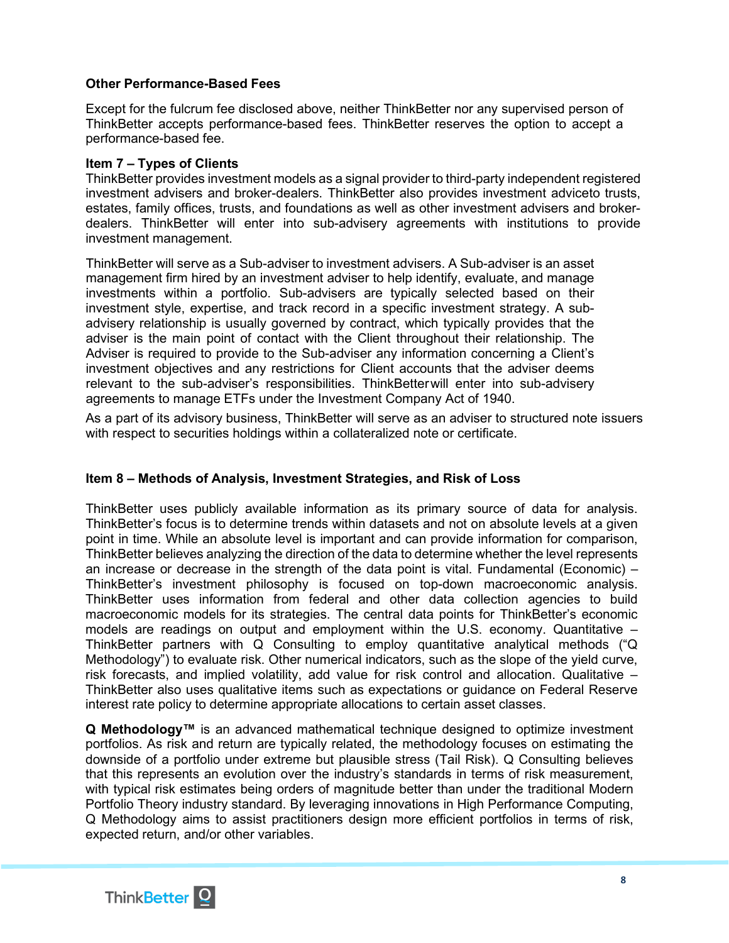# **Other Performance-Based Fees**

Except for the fulcrum fee disclosed above, neither ThinkBetter nor any supervised person of ThinkBetter accepts performance-based fees. ThinkBetter reserves the option to accept a performance-based fee.

#### <span id="page-7-0"></span>**Item 7 – Types of Clients**

ThinkBetter provides investment models as a signal provider to third-party independent registered investment advisers and broker-dealers. ThinkBetter also provides investment adviceto trusts, estates, family offices, trusts, and foundations as well as other investment advisers and brokerdealers. ThinkBetter will enter into sub-advisery agreements with institutions to provide investment management.

ThinkBetter will serve as a Sub-adviser to investment advisers. A Sub-adviser is an asset management firm hired by an investment adviser to help identify, evaluate, and manage investments within a portfolio. Sub-advisers are typically selected based on their investment style, expertise, and track record in a specific investment strategy. A subadvisery relationship is usually governed by contract, which typically provides that the adviser is the main point of contact with the Client throughout their relationship. The Adviser is required to provide to the Sub-adviser any information concerning a Client's investment objectives and any restrictions for Client accounts that the adviser deems relevant to the sub-adviser's responsibilities. ThinkBetterwill enter into sub-advisery agreements to manage ETFs under the Investment Company Act of 1940.

As a part of its advisory business, ThinkBetter will serve as an adviser to structured note issuers with respect to securities holdings within a collateralized note or certificate.

# <span id="page-7-1"></span>**Item 8 – Methods of Analysis, Investment Strategies, and Risk of Loss**

ThinkBetter uses publicly available information as its primary source of data for analysis. ThinkBetter's focus is to determine trends within datasets and not on absolute levels at a given point in time. While an absolute level is important and can provide information for comparison, ThinkBetter believes analyzing the direction of the data to determine whether the level represents an increase or decrease in the strength of the data point is vital. Fundamental (Economic) – ThinkBetter's investment philosophy is focused on top-down macroeconomic analysis. ThinkBetter uses information from federal and other data collection agencies to build macroeconomic models for its strategies. The central data points for ThinkBetter's economic models are readings on output and employment within the U.S. economy. Quantitative – ThinkBetter partners with Q Consulting to employ quantitative analytical methods ("Q Methodology") to evaluate risk. Other numerical indicators, such as the slope of the yield curve, risk forecasts, and implied volatility, add value for risk control and allocation. Qualitative – ThinkBetter also uses qualitative items such as expectations or guidance on Federal Reserve interest rate policy to determine appropriate allocations to certain asset classes.

**Q Methodology™** is an advanced mathematical technique designed to optimize investment portfolios. As risk and return are typically related, the methodology focuses on estimating the downside of a portfolio under extreme but plausible stress (Tail Risk). Q Consulting believes that this represents an evolution over the industry's standards in terms of risk measurement, with typical risk estimates being orders of magnitude better than under the traditional Modern Portfolio Theory industry standard. By leveraging innovations in High Performance Computing, Q Methodology aims to assist practitioners design more efficient portfolios in terms of risk, expected return, and/or other variables.

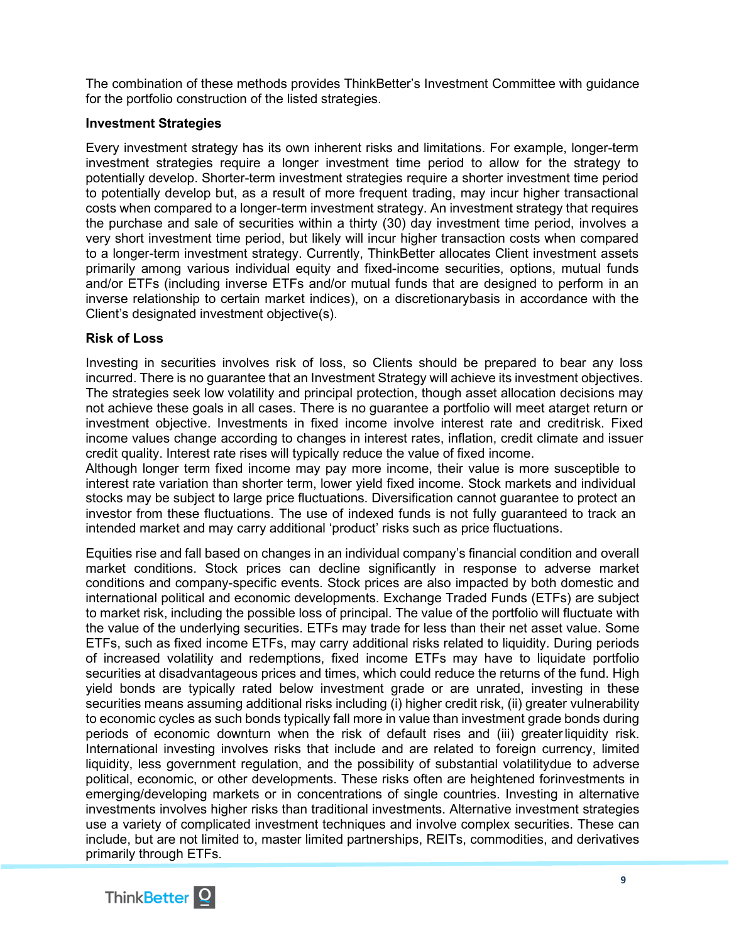The combination of these methods provides ThinkBetter's Investment Committee with guidance for the portfolio construction of the listed strategies.

# **Investment Strategies**

Every investment strategy has its own inherent risks and limitations. For example, longer-term investment strategies require a longer investment time period to allow for the strategy to potentially develop. Shorter-term investment strategies require a shorter investment time period to potentially develop but, as a result of more frequent trading, may incur higher transactional costs when compared to a longer-term investment strategy. An investment strategy that requires the purchase and sale of securities within a thirty (30) day investment time period, involves a very short investment time period, but likely will incur higher transaction costs when compared to a longer-term investment strategy. Currently, ThinkBetter allocates Client investment assets primarily among various individual equity and fixed-income securities, options, mutual funds and/or ETFs (including inverse ETFs and/or mutual funds that are designed to perform in an inverse relationship to certain market indices), on a discretionarybasis in accordance with the Client's designated investment objective(s).

### **Risk of Loss**

Investing in securities involves risk of loss, so Clients should be prepared to bear any loss incurred. There is no guarantee that an Investment Strategy will achieve its investment objectives. The strategies seek low volatility and principal protection, though asset allocation decisions may not achieve these goals in all cases. There is no guarantee a portfolio will meet atarget return or investment objective. Investments in fixed income involve interest rate and creditrisk. Fixed income values change according to changes in interest rates, inflation, credit climate and issuer credit quality. Interest rate rises will typically reduce the value of fixed income.

Although longer term fixed income may pay more income, their value is more susceptible to interest rate variation than shorter term, lower yield fixed income. Stock markets and individual stocks may be subject to large price fluctuations. Diversification cannot guarantee to protect an investor from these fluctuations. The use of indexed funds is not fully guaranteed to track an intended market and may carry additional 'product' risks such as price fluctuations.

Equities rise and fall based on changes in an individual company's financial condition and overall market conditions. Stock prices can decline significantly in response to adverse market conditions and company-specific events. Stock prices are also impacted by both domestic and international political and economic developments. Exchange Traded Funds (ETFs) are subject to market risk, including the possible loss of principal. The value of the portfolio will fluctuate with the value of the underlying securities. ETFs may trade for less than their net asset value. Some ETFs, such as fixed income ETFs, may carry additional risks related to liquidity. During periods of increased volatility and redemptions, fixed income ETFs may have to liquidate portfolio securities at disadvantageous prices and times, which could reduce the returns of the fund. High yield bonds are typically rated below investment grade or are unrated, investing in these securities means assuming additional risks including (i) higher credit risk, (ii) greater vulnerability to economic cycles as such bonds typically fall more in value than investment grade bonds during periods of economic downturn when the risk of default rises and (iii) greaterliquidity risk. International investing involves risks that include and are related to foreign currency, limited liquidity, less government regulation, and the possibility of substantial volatilitydue to adverse political, economic, or other developments. These risks often are heightened forinvestments in emerging/developing markets or in concentrations of single countries. Investing in alternative investments involves higher risks than traditional investments. Alternative investment strategies use a variety of complicated investment techniques and involve complex securities. These can include, but are not limited to, master limited partnerships, REITs, commodities, and derivatives primarily through ETFs.

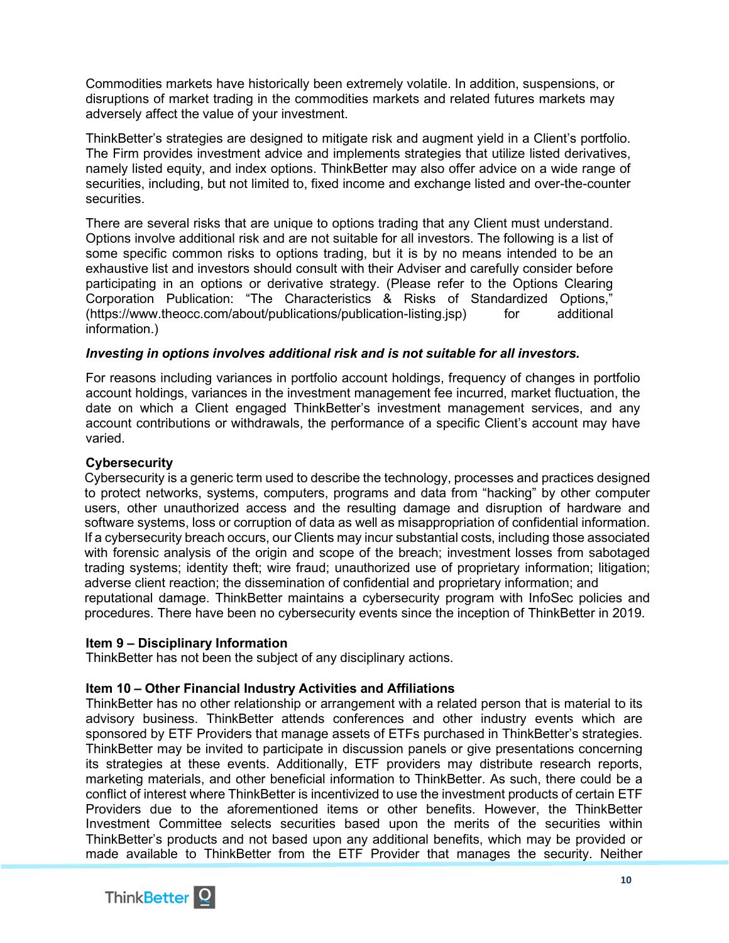Commodities markets have historically been extremely volatile. In addition, suspensions, or disruptions of market trading in the commodities markets and related futures markets may adversely affect the value of your investment.

ThinkBetter's strategies are designed to mitigate risk and augment yield in a Client's portfolio. The Firm provides investment advice and implements strategies that utilize listed derivatives, namely listed equity, and index options. ThinkBetter may also offer advice on a wide range of securities, including, but not limited to, fixed income and exchange listed and over-the-counter securities.

There are several risks that are unique to options trading that any Client must understand. Options involve additional risk and are not suitable for all investors. The following is a list of some specific common risks to options trading, but it is by no means intended to be an exhaustive list and investors should consult with their Adviser and carefully consider before participating in an options or derivative strategy. (Please refer to the Options Clearing Corporation Publication: "The Characteristics & Risks of Standardized Options," (https:/[/www.theocc.com/about/publications/publication-listing.jsp\)](http://www.theocc.com/about/publications/publication-listing.jsp)) for additional information.)

# *Investing in options involves additional risk and is not suitable for all investors.*

For reasons including variances in portfolio account holdings, frequency of changes in portfolio account holdings, variances in the investment management fee incurred, market fluctuation, the date on which a Client engaged ThinkBetter's investment management services, and any account contributions or withdrawals, the performance of a specific Client's account may have varied.

### **Cybersecurity**

Cybersecurity is a generic term used to describe the technology, processes and practices designed to protect networks, systems, computers, programs and data from "hacking" by other computer users, other unauthorized access and the resulting damage and disruption of hardware and software systems, loss or corruption of data as well as misappropriation of confidential information. If a cybersecurity breach occurs, our Clients may incur substantial costs, including those associated with forensic analysis of the origin and scope of the breach; investment losses from sabotaged trading systems; identity theft; wire fraud; unauthorized use of proprietary information; litigation; adverse client reaction; the dissemination of confidential and proprietary information; and reputational damage. ThinkBetter maintains a cybersecurity program with InfoSec policies and procedures. There have been no cybersecurity events since the inception of ThinkBetter in 2019.

#### <span id="page-9-0"></span>**Item 9 – Disciplinary Information**

ThinkBetter has not been the subject of any disciplinary actions.

#### <span id="page-9-1"></span>**Item 10 – Other Financial Industry Activities and Affiliations**

ThinkBetter has no other relationship or arrangement with a related person that is material to its advisory business. ThinkBetter attends conferences and other industry events which are sponsored by ETF Providers that manage assets of ETFs purchased in ThinkBetter's strategies. ThinkBetter may be invited to participate in discussion panels or give presentations concerning its strategies at these events. Additionally, ETF providers may distribute research reports, marketing materials, and other beneficial information to ThinkBetter. As such, there could be a conflict of interest where ThinkBetter is incentivized to use the investment products of certain ETF Providers due to the aforementioned items or other benefits. However, the ThinkBetter Investment Committee selects securities based upon the merits of the securities within ThinkBetter's products and not based upon any additional benefits, which may be provided or made available to ThinkBetter from the ETF Provider that manages the security. Neither

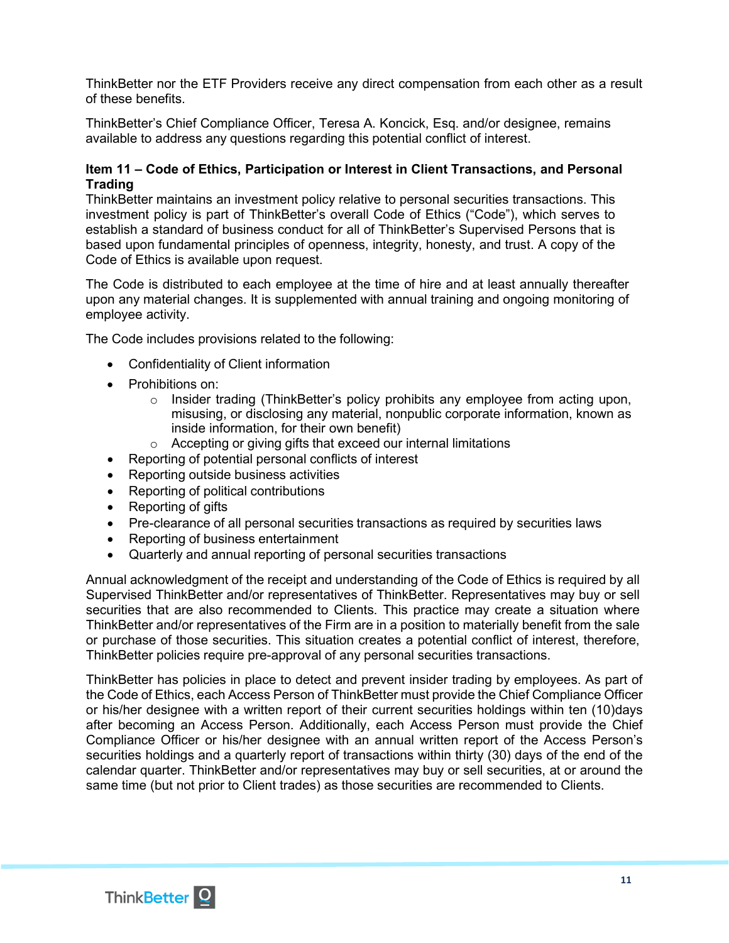ThinkBetter nor the ETF Providers receive any direct compensation from each other as a result of these benefits.

ThinkBetter's Chief Compliance Officer, Teresa A. Koncick, Esq. and/or designee, remains available to address any questions regarding this potential conflict of interest.

### <span id="page-10-0"></span>**Item 11 – Code of Ethics, Participation or Interest in Client Transactions, and Personal Trading**

ThinkBetter maintains an investment policy relative to personal securities transactions. This investment policy is part of ThinkBetter's overall Code of Ethics ("Code"), which serves to establish a standard of business conduct for all of ThinkBetter's Supervised Persons that is based upon fundamental principles of openness, integrity, honesty, and trust. A copy of the Code of Ethics is available upon request.

The Code is distributed to each employee at the time of hire and at least annually thereafter upon any material changes. It is supplemented with annual training and ongoing monitoring of employee activity.

The Code includes provisions related to the following:

- Confidentiality of Client information
- Prohibitions on:
	- $\circ$  Insider trading (ThinkBetter's policy prohibits any employee from acting upon, misusing, or disclosing any material, nonpublic corporate information, known as inside information, for their own benefit)
	- o Accepting or giving gifts that exceed our internal limitations
- Reporting of potential personal conflicts of interest
- Reporting outside business activities
- Reporting of political contributions
- Reporting of gifts
- Pre-clearance of all personal securities transactions as required by securities laws
- Reporting of business entertainment
- Quarterly and annual reporting of personal securities transactions

Annual acknowledgment of the receipt and understanding of the Code of Ethics is required by all Supervised ThinkBetter and/or representatives of ThinkBetter. Representatives may buy or sell securities that are also recommended to Clients. This practice may create a situation where ThinkBetter and/or representatives of the Firm are in a position to materially benefit from the sale or purchase of those securities. This situation creates a potential conflict of interest, therefore, ThinkBetter policies require pre-approval of any personal securities transactions.

ThinkBetter has policies in place to detect and prevent insider trading by employees. As part of the Code of Ethics, each Access Person of ThinkBetter must provide the Chief Compliance Officer or his/her designee with a written report of their current securities holdings within ten (10)days after becoming an Access Person. Additionally, each Access Person must provide the Chief Compliance Officer or his/her designee with an annual written report of the Access Person's securities holdings and a quarterly report of transactions within thirty (30) days of the end of the calendar quarter. ThinkBetter and/or representatives may buy or sell securities, at or around the same time (but not prior to Client trades) as those securities are recommended to Clients.

<span id="page-10-1"></span>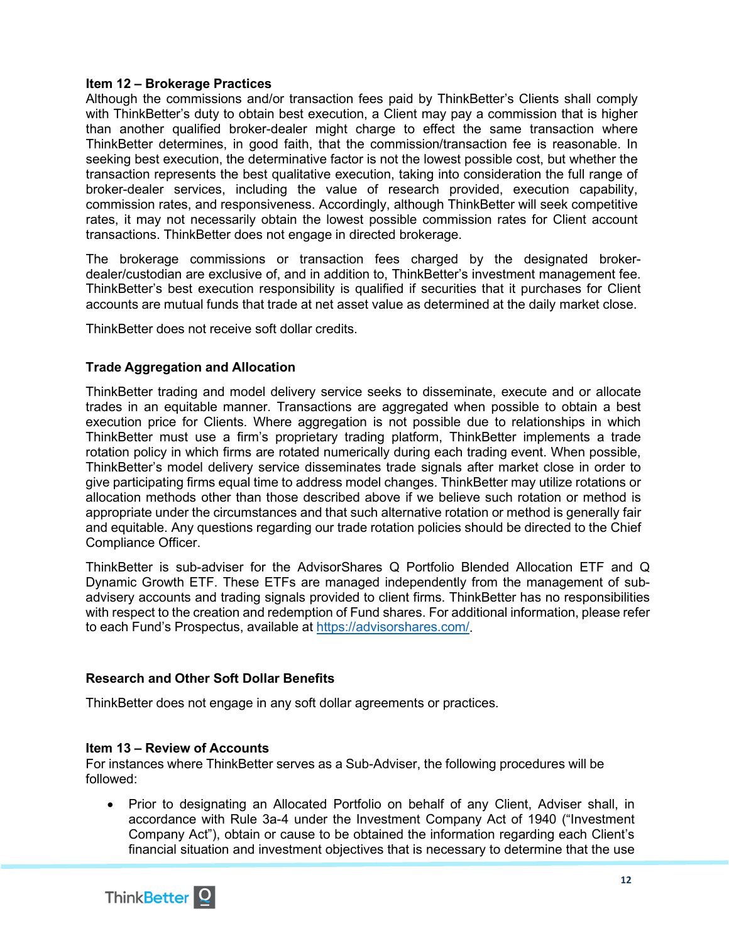### **Item 12 – Brokerage Practices**

Although the commissions and/or transaction fees paid by ThinkBetter's Clients shall comply with ThinkBetter's duty to obtain best execution, a Client may pay a commission that is higher than another qualified broker-dealer might charge to effect the same transaction where ThinkBetter determines, in good faith, that the commission/transaction fee is reasonable. In seeking best execution, the determinative factor is not the lowest possible cost, but whether the transaction represents the best qualitative execution, taking into consideration the full range of broker-dealer services, including the value of research provided, execution capability, commission rates, and responsiveness. Accordingly, although ThinkBetter will seek competitive rates, it may not necessarily obtain the lowest possible commission rates for Client account transactions. ThinkBetter does not engage in directed brokerage.

The brokerage commissions or transaction fees charged by the designated brokerdealer/custodian are exclusive of, and in addition to, ThinkBetter's investment management fee. ThinkBetter's best execution responsibility is qualified if securities that it purchases for Client accounts are mutual funds that trade at net asset value as determined at the daily market close.

ThinkBetter does not receive soft dollar credits.

# **Trade Aggregation and Allocation**

ThinkBetter trading and model delivery service seeks to disseminate, execute and or allocate trades in an equitable manner. Transactions are aggregated when possible to obtain a best execution price for Clients. Where aggregation is not possible due to relationships in which ThinkBetter must use a firm's proprietary trading platform, ThinkBetter implements a trade rotation policy in which firms are rotated numerically during each trading event. When possible, ThinkBetter's model delivery service disseminates trade signals after market close in order to give participating firms equal time to address model changes. ThinkBetter may utilize rotations or allocation methods other than those described above if we believe such rotation or method is appropriate under the circumstances and that such alternative rotation or method is generally fair and equitable. Any questions regarding our trade rotation policies should be directed to the Chief Compliance Officer.

ThinkBetter is sub-adviser for the AdvisorShares Q Portfolio Blended Allocation ETF and Q Dynamic Growth ETF. These ETFs are managed independently from the management of subadvisery accounts and trading signals provided to client firms. ThinkBetter has no responsibilities with respect to the creation and redemption of Fund shares. For additional information, please refer to each Fund's Prospectus, available at [https://advisorshares.com/.](https://advisorshares.com/)

# **Research and Other Soft Dollar Benefits**

ThinkBetter does not engage in any soft dollar agreements or practices.

#### <span id="page-11-0"></span>**Item 13 – Review of Accounts**

For instances where ThinkBetter serves as a Sub-Adviser, the following procedures will be followed:

• Prior to designating an Allocated Portfolio on behalf of any Client, Adviser shall, in accordance with Rule 3a-4 under the Investment Company Act of 1940 ("Investment Company Act"), obtain or cause to be obtained the information regarding each Client's financial situation and investment objectives that is necessary to determine that the use

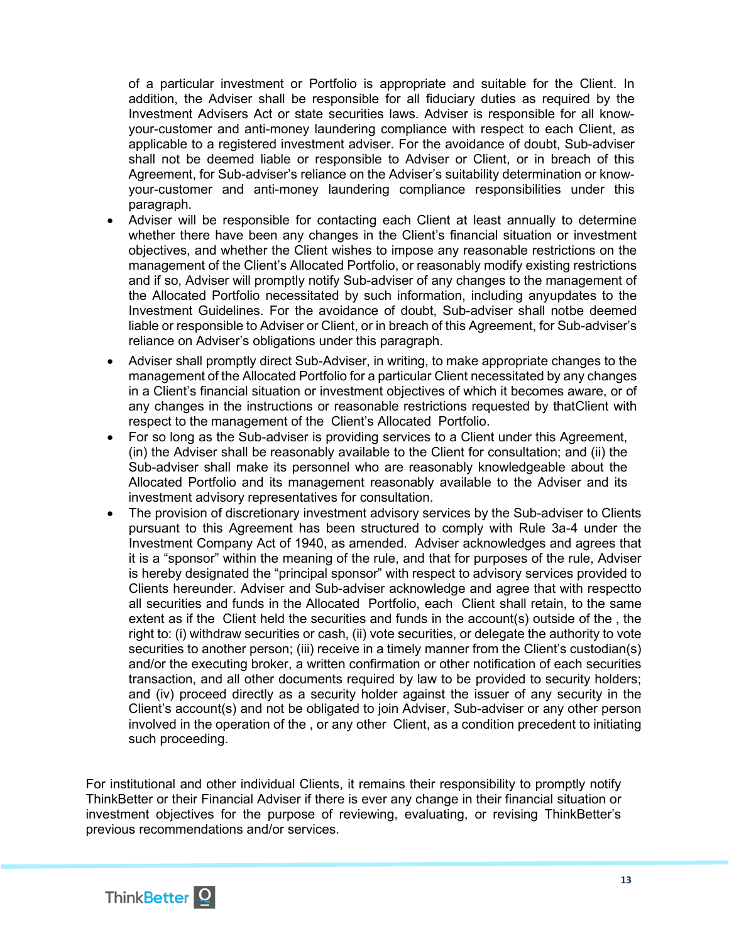of a particular investment or Portfolio is appropriate and suitable for the Client. In addition, the Adviser shall be responsible for all fiduciary duties as required by the Investment Advisers Act or state securities laws. Adviser is responsible for all knowyour-customer and anti-money laundering compliance with respect to each Client, as applicable to a registered investment adviser. For the avoidance of doubt, Sub-adviser shall not be deemed liable or responsible to Adviser or Client, or in breach of this Agreement, for Sub-adviser's reliance on the Adviser's suitability determination or knowyour-customer and anti-money laundering compliance responsibilities under this paragraph.

- Adviser will be responsible for contacting each Client at least annually to determine whether there have been any changes in the Client's financial situation or investment objectives, and whether the Client wishes to impose any reasonable restrictions on the management of the Client's Allocated Portfolio, or reasonably modify existing restrictions and if so, Adviser will promptly notify Sub-adviser of any changes to the management of the Allocated Portfolio necessitated by such information, including anyupdates to the Investment Guidelines. For the avoidance of doubt, Sub-adviser shall notbe deemed liable or responsible to Adviser or Client, or in breach of this Agreement, for Sub-adviser's reliance on Adviser's obligations under this paragraph.
- Adviser shall promptly direct Sub-Adviser, in writing, to make appropriate changes to the management of the Allocated Portfolio for a particular Client necessitated by any changes in a Client's financial situation or investment objectives of which it becomes aware, or of any changes in the instructions or reasonable restrictions requested by thatClient with respect to the management of the Client's Allocated Portfolio.
- For so long as the Sub-adviser is providing services to a Client under this Agreement, (in) the Adviser shall be reasonably available to the Client for consultation; and (ii) the Sub-adviser shall make its personnel who are reasonably knowledgeable about the Allocated Portfolio and its management reasonably available to the Adviser and its investment advisory representatives for consultation.
- The provision of discretionary investment advisory services by the Sub-adviser to Clients pursuant to this Agreement has been structured to comply with Rule 3a-4 under the Investment Company Act of 1940, as amended. Adviser acknowledges and agrees that it is a "sponsor" within the meaning of the rule, and that for purposes of the rule, Adviser is hereby designated the "principal sponsor" with respect to advisory services provided to Clients hereunder. Adviser and Sub-adviser acknowledge and agree that with respectto all securities and funds in the Allocated Portfolio, each Client shall retain, to the same extent as if the Client held the securities and funds in the account(s) outside of the , the right to: (i) withdraw securities or cash, (ii) vote securities, or delegate the authority to vote securities to another person; (iii) receive in a timely manner from the Client's custodian(s) and/or the executing broker, a written confirmation or other notification of each securities transaction, and all other documents required by law to be provided to security holders; and (iv) proceed directly as a security holder against the issuer of any security in the Client's account(s) and not be obligated to join Adviser, Sub-adviser or any other person involved in the operation of the , or any other Client, as a condition precedent to initiating such proceeding.

For institutional and other individual Clients, it remains their responsibility to promptly notify ThinkBetter or their Financial Adviser if there is ever any change in their financial situation or investment objectives for the purpose of reviewing, evaluating, or revising ThinkBetter's previous recommendations and/or services.

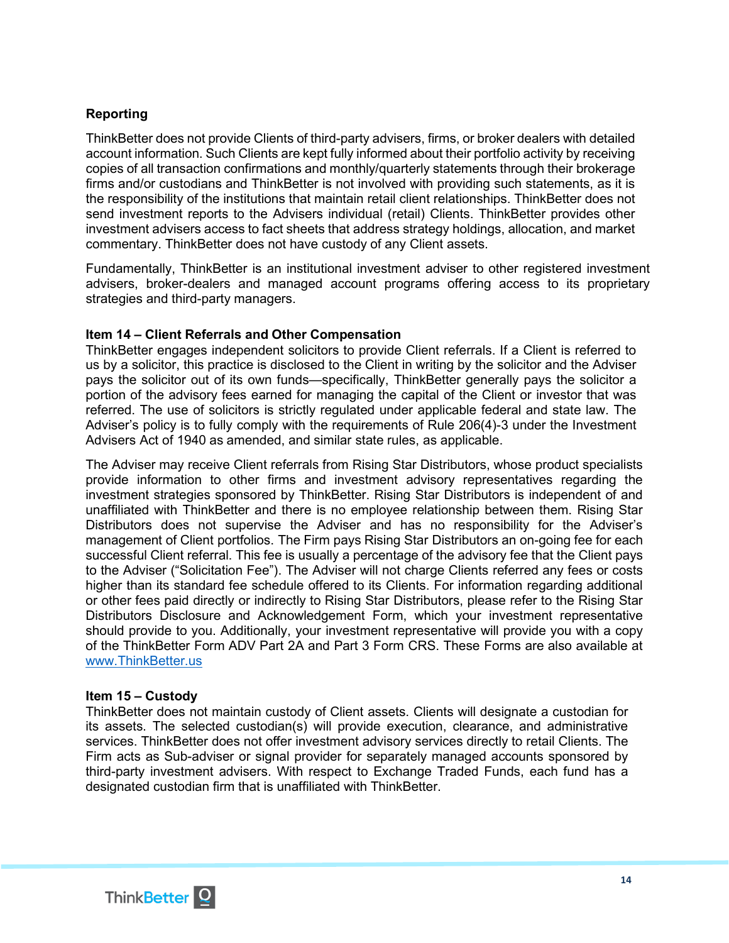# **Reporting**

ThinkBetter does not provide Clients of third-party advisers, firms, or broker dealers with detailed account information. Such Clients are kept fully informed about their portfolio activity by receiving copies of all transaction confirmations and monthly/quarterly statements through their brokerage firms and/or custodians and ThinkBetter is not involved with providing such statements, as it is the responsibility of the institutions that maintain retail client relationships. ThinkBetter does not send investment reports to the Advisers individual (retail) Clients. ThinkBetter provides other investment advisers access to fact sheets that address strategy holdings, allocation, and market commentary. ThinkBetter does not have custody of any Client assets.

Fundamentally, ThinkBetter is an institutional investment adviser to other registered investment advisers, broker-dealers and managed account programs offering access to its proprietary strategies and third-party managers.

### <span id="page-13-0"></span>**Item 14 – Client Referrals and Other Compensation**

ThinkBetter engages independent solicitors to provide Client referrals. If a Client is referred to us by a solicitor, this practice is disclosed to the Client in writing by the solicitor and the Adviser pays the solicitor out of its own funds—specifically, ThinkBetter generally pays the solicitor a portion of the advisory fees earned for managing the capital of the Client or investor that was referred. The use of solicitors is strictly regulated under applicable federal and state law. The Adviser's policy is to fully comply with the requirements of Rule 206(4)-3 under the Investment Advisers Act of 1940 as amended, and similar state rules, as applicable.

The Adviser may receive Client referrals from Rising Star Distributors, whose product specialists provide information to other firms and investment advisory representatives regarding the investment strategies sponsored by ThinkBetter. Rising Star Distributors is independent of and unaffiliated with ThinkBetter and there is no employee relationship between them. Rising Star Distributors does not supervise the Adviser and has no responsibility for the Adviser's management of Client portfolios. The Firm pays Rising Star Distributors an on-going fee for each successful Client referral. This fee is usually a percentage of the advisory fee that the Client pays to the Adviser ("Solicitation Fee"). The Adviser will not charge Clients referred any fees or costs higher than its standard fee schedule offered to its Clients. For information regarding additional or other fees paid directly or indirectly to Rising Star Distributors, please refer to the Rising Star Distributors Disclosure and Acknowledgement Form, which your investment representative should provide to you. Additionally, your investment representative will provide you with a copy of the ThinkBetter Form ADV Part 2A and Part 3 Form CRS. These Forms are also available at [www.ThinkBetter.us](http://www.thinkbetter.us/)

#### <span id="page-13-1"></span>**Item 15 – Custody**

<span id="page-13-2"></span>ThinkBetter does not maintain custody of Client assets. Clients will designate a custodian for its assets. The selected custodian(s) will provide execution, clearance, and administrative services. ThinkBetter does not offer investment advisory services directly to retail Clients. The Firm acts as Sub-adviser or signal provider for separately managed accounts sponsored by third-party investment advisers. With respect to Exchange Traded Funds, each fund has a designated custodian firm that is unaffiliated with ThinkBetter.